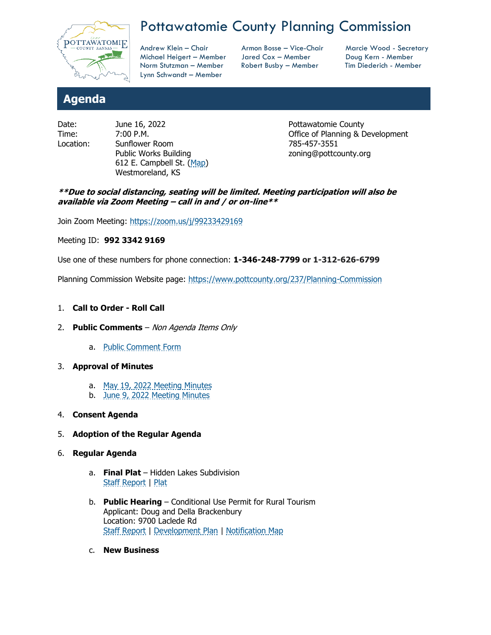

## Pottawatomie County Planning Commission

Andrew Klein – Chair **Armon Bosse – Vice-Chair** Marcie Wood - Secretary Michael Heigert – Member Jared Cox – Member Doug Kern - Member Norm Stutzman – Member Robert Busby – Member Tim Diederich - Member Lynn Schwandt – Member

## **Agenda**

Date: June 16, 2022 **Pottawatomie County** Location: Sunflower Room 785-457-3551 Public Works Building and a state of the control of the public Works Building 612 E. Campbell St. [\(Map\)](https://www.pottcounty.org/DocumentCenter/View/4172/Sunflower-Room---Locator-Map) Westmoreland, KS

Time: 7:00 P.M. CHERRY CONSERVENTIAL COMPOSE Of Planning & Development

## **\*\*Due to social distancing, seating will be limited. Meeting participation will also be available via Zoom Meeting – call in and / or on-line\*\***

Join Zoom Meeting:<https://zoom.us/j/99233429169>

Meeting ID: **992 3342 9169**

Use one of these numbers for phone connection: **1-346-248-7799 or 1-312-626-6799**

Planning Commission Website page:<https://www.pottcounty.org/237/Planning-Commission>

## 1. **Call to Order - Roll Call**

- 2. **Public Comments** Non Agenda Items Only
	- a. [Public Comment Form](https://www.pottcounty.org/FormCenter/Zoning-11/Public-Comment-Form-63)
- 3. **Approval of Minutes** 
	- a. [May 19, 2022 Meeting Minutes](https://www.pottcounty.org/DocumentCenter/View/6212/5-19-22-Minutes)
	- b. [June 9, 2022 Meeting Minutes](https://www.pottcounty.org/DocumentCenter/View/6223/6-9-22-Minutes)
- 4. **Consent Agenda**
- 5. **Adoption of the Regular Agenda**
- 6. **Regular Agenda**
	- a. **Final Plat**  Hidden Lakes Subdivision [Staff Report](https://www.pottcounty.org/DocumentCenter/View/6214/Hidden-Lakes-Final-Plat---Staff-Report) | [Plat](https://www.pottcounty.org/DocumentCenter/View/6213/2205-0195---Berges---Final-Plat-FINAL)
	- b. **Public Hearing**  Conditional Use Permit for Rural Tourism Applicant: Doug and Della Brackenbury Location: 9700 Laclede Rd [Staff Report](https://www.pottcounty.org/DocumentCenter/View/6211/Conditional-Use-Staff-Report---Brackenbury-Rural-Tourism) | [Development Plan](https://www.pottcounty.org/DocumentCenter/View/6209/Triple-B-Ranch-Plan) | [Notification Map](https://www.pottcounty.org/DocumentCenter/View/6210/Notified-Properties-Map)
	- c. **New Business**